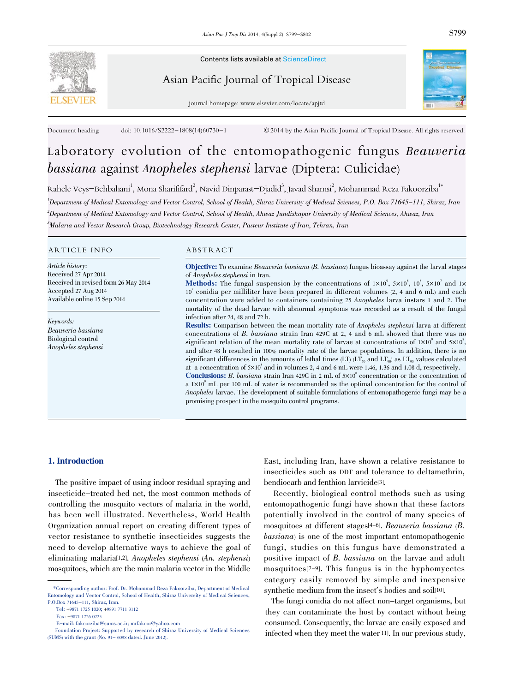

Contents lists available at ScienceDirect

Asian Pacific Journal of Tropical Disease



journal homepage: www.elsevier.com/locate/apjtd

Document heading doi: 10.1016/S2222-1808(14)60730-1 © 2014 by the Asian Pacific Journal of Tropical Disease. All rights reserved.

# Laboratory evolution of the entomopathogenic fungus Beauveria bassiana against Anopheles stephensi larvae (Diptera: Culicidae)

Rahele Veys–Behbahani<sup>1</sup>, Mona Sharififard<sup>2</sup>, Navid Dinparast–Djadid<sup>3</sup>, Javad Shamsi<sup>2</sup>, Mohammad Reza Fakoorziba<sup>1</sup>\* Department of Medical Entomology and Vector Control, School of Health, Shiraz University of Medical Sciences, P.O. Box 71645-111, Shiraz, Iran Department of Medical Entomology and Vector Control, School of Health, Ahwaz Jundishapur University of Medical Sciences, Ahwaz, Iran Malaria and Vector Research Group, Biotechnology Research Center, Pasteur Institute of Iran, Tehran, Iran

# ARTICLE INFO ABSTRACT

Article history: Received 27 Apr 2014 Received in revised form 26 May 2014 Accepted 27 Aug 2014 Available online 15 Sep 2014

Keywords: Beauveria bassiana Biological control Anopheles stephensi

Objective: To examine Beauveria bassiana (B. bassiana) fungus bioassay against the larval stages of Anopheles stephensi in Iran.

**Methods:** The fungal suspension by the concentrations of  $1 \times 10^9$ ,  $5 \times 10^8$ ,  $10^8$ ,  $5 \times 10^7$  and  $1 \times$ 10 7 conidia per milliliter have been prepared in different volumes (2, 4 and 6 mL) and each concentration were added to containers containing <sup>25</sup> Anopheles larva instars <sup>1</sup> and 2. The mortality of the dead larvae with abnormal symptoms was recorded as a result of the fungal infection after 24, 48 and 72 h.

Results: Comparison between the mean mortality rate of Anopheles stephensi larva at different concentrations of B. bassiana strain Iran 429C at 2, <sup>4</sup> and <sup>6</sup> mL showed that there was no significant relation of the mean mortality rate of larvae at concentrations of  $1\times10^9$  and  $5\times10^8$ , and after 48 h resulted in 100% mortality rate of the larvae populations. In addition, there is no significant differences in the amounts of lethal times (LT) (LT<sub>50</sub> and LT<sub>90</sub>) as LT<sub>90</sub> values calculated at a concentration of  $5\times10^8$  and in volumes 2, 4 and 6 mL were 1.46, 1.36 and 1.08 d, respectively. **Conclusions:** B. bassiana strain Iran 429C in 2 mL of  $5 \times 10^8$  concentration or the concentration of a  $1 \times 10^9$  mL per 100 mL of water is recommended as the optimal concentration for the control of

Anopheles larvae. The development of suitable formulations of entomopathogenic fungi may be a promising prospect in the mosquito control programs.

# 1. Introduction

The positive impact of using indoor residual spraying and insecticide-treated bed net, the most common methods of controlling the mosquito vectors of malaria in the world, has been well illustrated. Nevertheless, World Health Organization annual report on creating different types of vector resistance to synthetic insecticides suggests the need to develop alternative ways to achieve the goal of eliminating malaria[1,2]. Anopheles stephensi (An. stephensi) mosquitoes, which are the main malaria vector in the Middle

East, including Iran, have shown a relative resistance to insecticides such as DDT and tolerance to deltamethrin, bendiocarb and fenthion larvicide[3].

Recently, biological control methods such as using entomopathogenic fungi have shown that these factors potentially involved in the control of many species of mosquitoes at different stages[4-6]. Beauveria bassiana (B. bassiana) is one of the most important entomopathogenic fungi, studies on this fungus have demonstrated a positive impact of B. bassiana on the larvae and adult mosquitoes[7-9]. This fungus is in the hyphomycetes category easily removed by simple and inexpensive synthetic medium from the insect's bodies and soil[10].

The fungi conidia do not affect non-target organisms, but they can contaminate the host by contact without being consumed. Consequently, the larvae are easily exposed and infected when they meet the water[11]. In our previous study,

<sup>\*</sup>Corresponding author: Prof. Dr. Mohammad Reza Fakoorziba, Department of Medical Entomology and Vector Control, School of Health, Shiraz University of Medical Sciences, P.O.Box 71645-111, Shiraz, Iran.

Tel: +9871 1725 1020; +9891 7711 3112

Fax: +9871 1726 0225

E-mail: fakoorziba@sums.ac.ir; mrfakoor@yahoo.com

Foundation Project: Supported by research of Shiraz University of Medical Sciences (SUMS) with the grant (No. 91- 6098 dated. June 2012).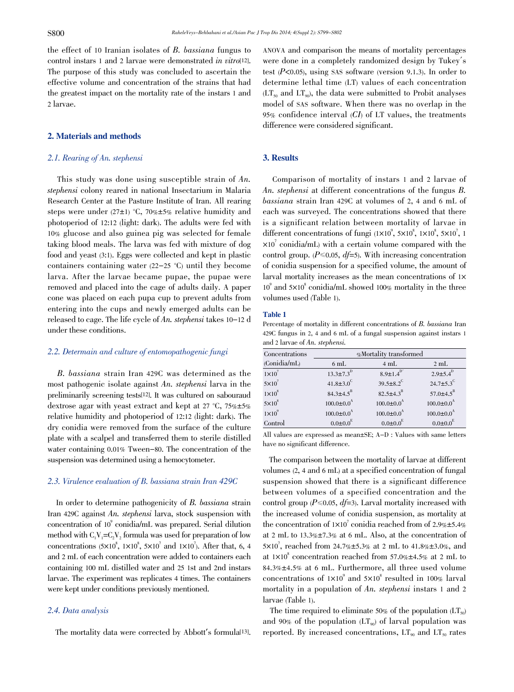the effect of <sup>10</sup> Iranian isolates of B. bassiana fungus to control instars 1 and 2 larvae were demonstrated in vitro[12]. The purpose of this study was concluded to ascertain the effective volume and concentration of the strains that had the greatest impact on the mortality rate of the instars 1 and 2 larvae.

# 2. Materials and methods

# 2.1. Rearing of An. stephensi

This study was done using susceptible strain of An. stephensi colony reared in national Insectarium in Malaria Research Center at the Pasture Institute of Iran. All rearing steps were under  $(27\pm1)$  °C, 70% $\pm5$ % relative humidity and photoperiod of 12:12 (light: dark). The adults were fed with 10% glucose and also guinea pig was selected for female taking blood meals. The larva was fed with mixture of dog food and yeast (3:1). Eggs were collected and kept in plastic containers containing water (22-25 °C) until they become larva. After the larvae became pupae, the pupae were removed and placed into the cage of adults daily. A paper cone was placed on each pupa cup to prevent adults from entering into the cups and newly emerged adults can be released to cage. The life cycle of An. stephensi takes 10-12 d under these conditions.

## 2.2. Determain and culture of entomopathogenic fungi

B. bassiana strain Iran 429C was determined as the most pathogenic isolate against An. stephensi larva in the preliminarily screening tests[12]. It was cultured on sabouraud dextrose agar with yeast extract and kept at 27  $°C$ , 75% $\pm$ 5% relative humidity and photoperiod of 12:12 (light: dark). The dry conidia were removed from the surface of the culture plate with a scalpel and transferred them to sterile distilled water containing 0.01% Tween-80. The concentration of the suspension was determined using a hemocytometer.

### 2.3. Virulence evaluation of B. bassiana strain Iran 429C

In order to determine pathogenicity of B. bassiana strain Iran 429C against An. stephensi larva, stock suspension with concentration of 10 9 conidia/mL was prepared. Serial dilution method with  $C_1V_1=C_2V_2$  formula was used for preparation of low concentrations  $(5 \times 10^8, 1 \times 10^8, 5 \times 10^7, 1 \times 10^7)$ . After that, 6, 4 and 2 mL of each concentration were added to containers each containing 100 mL distilled water and 25 1st and 2nd instars larvae. The experiment was replicates 4 times. The containers were kept under conditions previously mentioned.

#### 2.4. Data analysis

The mortality data were corrected by Abbott's formula[13].

ANOVA and comparison the means of mortality percentages were done in a completely randomized design by Tukey´s test  $(P<0.05)$ , using SAS software (version 9.1.3). In order to determine lethal time (LT) values of each concentration  $LT_{50}$  and  $LT_{90}$ , the data were submitted to Probit analyses model of SAS software. When there was no overlap in the 95% confidence interval  $(CI)$  of LT values, the treatments difference were considered significant.

# 3. Results

Comparison of mortality of instars 1 and 2 larvae of An. stephensi at different concentrations of the fungus B. bassiana strain Iran 429C at volumes of 2, <sup>4</sup> and <sup>6</sup> mL of each was surveyed. The concentrations showed that there is a significant relation between mortality of larvae in different concentrations of fungi  $(1 \times 10^9, 5 \times 10^8, 1 \times 10^8, 5 \times 10^7, 1$  $\times 10<sup>7</sup>$  conidia/mL) with a certain volume compared with the control group. ( $P \le 0.05$ ,  $df=5$ ). With increasing concentration of conidia suspension for a specified volume, the amount of larval mortality increases as the mean concentrations of  $1\times$  $10^{\circ}$  and  $5\times10^{\circ}$  conidia/mL showed  $100\%$  mortality in the three volumes used (Table 1).

#### Table 1

Percentage of mortality in different concentrations of B. bassiana Iran 429C fungus in 2, 4 and 6 mL of a fungal suspension against instars 1 and <sup>2</sup> larvae of An. stephensi.

| Concentrations  | %Mortality transformed       |                              |                              |
|-----------------|------------------------------|------------------------------|------------------------------|
| (Conidia/mL)    | 6mL                          | $4 \text{ mL}$               | 2mL                          |
| $1\times10^7$   | $13.3 \pm 7.3^{D}$           | $8.9 \pm 1.4$ <sup>D'</sup>  | $2.9{\pm}5.4^{D}$            |
| $5 \times 10^7$ | 41.8 $\pm$ 3.0 <sup>C</sup>  | $39.5 \pm 8.2$ <sup>C</sup>  | 24.7 $\pm$ 5.3 <sup>C</sup>  |
| $1 \times 10^8$ | $84.3 \pm 4.5^{B}$           | $82.5\pm4.3^{B}$             | 57.0 $\pm$ 4.5 <sup>B</sup>  |
| $5 \times 10^8$ | $100.0 \pm 0.0$ <sup>A</sup> | $100.0 \pm 0.0^{\text{A}}$   | $100.0 \pm 0.0$ <sup>A</sup> |
| $1\times10^{9}$ | $100.0 \pm 0.0$ <sup>A</sup> | $100.0 \pm 0.0$ <sup>A</sup> | $100.0 \pm 0.0$ <sup>A</sup> |
| Control         | $0.0{\pm}0.0^{E}$            | $0.0 \pm 0.0$ <sup>E</sup>   | $0.0 \pm 0.0$ <sup>E</sup>   |

All values are expressed as mean±SE; A-D : Values with same letters have no significant difference.

The comparison between the mortality of larvae at different volumes (2, 4 and 6 mL) at a specified concentration of fungal suspension showed that there is a significant difference between volumes of a specified concentration and the control group ( $P \le 0.05$ ,  $df = 3$ ). Larval mortality increased with the increased volume of conidia suspension, as mortality at the concentration of  $1 \times 10^7$  conidia reached from of 2.9% $\pm$ 5.4% at 2 mL to  $13.3\% \pm 7.3\%$  at 6 mL. Also, at the concentration of  $5 \times 10^7$ , reached from 24.7% $\pm 5.3$ % at 2 mL to 41.8% $\pm 3.0$ %, and at  $1 \times 10^8$  concentration reached from 57.0% $\pm 4.5\%$  at 2 mL to 84.3% $\pm$ 4.5% at 6 mL. Furthermore, all three used volume concentrations of  $1 \times 10^9$  and  $5 \times 10^8$  resulted in  $100\%$  larval mortality in a population of An. stephensi instars 1 and 2 larvae (Table 1).

The time required to eliminate 50% of the population  $(LT_{50})$ and 90% of the population  $(LT_{90})$  of larval population was reported. By increased concentrations,  $LT_{\alpha_0}$  and  $LT_{\tau_0}$  rates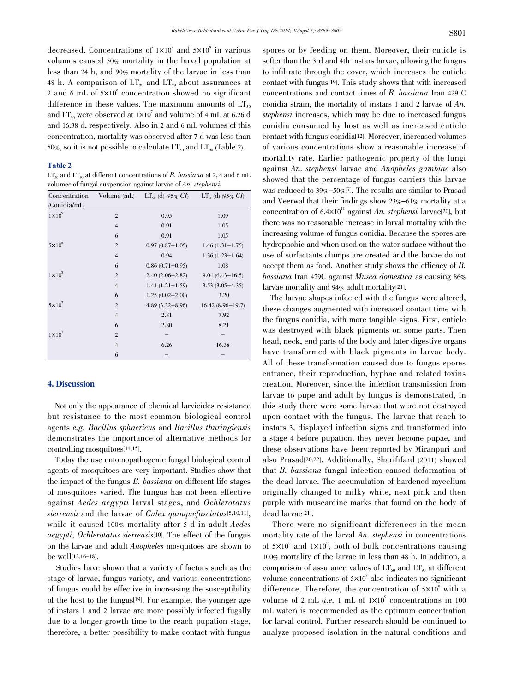decreased. Concentrations of  $1 \times 10^9$  and  $5 \times 10^8$  in various volumes caused 50% mortality in the larval population at less than 24 h, and 90% mortality of the larvae in less than 48 h. A comparison of  $LT_{50}$  and  $LT_{90}$  about assurances at 2 and 6 mL of  $5\times10^8$  concentration showed no significant difference in these values. The maximum amounts of  $LT_{50}$ and  $LT_{90}$  were observed at  $1\times10^{7}$  and volume of 4 mL at 6.26 d and 16.38 d, respectively. Also in 2 and 6 mL volumes of this concentration, mortality was observed after 7 d was less than 50%, so it is not possible to calculate  $LT_{50}$  and  $LT_{90}$  (Table 2).

#### Table 2

 $LT_{50}$  and  $LT_{90}$  at different concentrations of B. bassiana at 2, 4 and 6 mL volumes of fungal suspension against larvae of An. stephensi.

| Concentration     | Volume (mL)    | $LT_{50}$ (d) (95% $CI$ ) | $LT_{\infty}$ (d) (95% $CI$ ) |
|-------------------|----------------|---------------------------|-------------------------------|
| (Conidia/mL)      |                |                           |                               |
| $1 \times 10^{9}$ | $\overline{2}$ | 0.95                      | 1.09                          |
|                   | $\overline{4}$ | 0.91                      | 1.05                          |
|                   | 6              | 0.91                      | 1.05                          |
| $5 \times 10^8$   | $\overline{2}$ | $0.97(0.87 - 1.05)$       | $1.46(1.31-1.75)$             |
|                   | $\overline{4}$ | 0.94                      | $1.36(1.23 - 1.64)$           |
|                   | 6              | $0.86(0.71 - 0.95)$       | 1.08                          |
| $1 \times 10^8$   | $\overline{2}$ | $2.40(2.06 - 2.82)$       | $9.04(6.43 - 16.5)$           |
|                   | $\overline{4}$ | $1.41(1.21 - 1.59)$       | $3.53(3.05 - 4.35)$           |
|                   | 6              | $1.25(0.02 - 2.00)$       | 3.20                          |
| $5 \times 10^7$   | $\overline{2}$ | $4.89(3.22 - 8.96)$       | $16.42(8.96 - 19.7)$          |
|                   | $\overline{4}$ | 2.81                      | 7.92                          |
|                   | 6              | 2.80                      | 8.21                          |
| $1\times10^7$     | $\overline{2}$ |                           |                               |
|                   | $\overline{4}$ | 6.26                      | 16.38                         |
|                   | 6              |                           |                               |

# 4. Discussion

Not only the appearance of chemical larvicides resistance but resistance to the most common biological control agents e.g. Bacillus sphaericus and Bacillus thuringiensis demonstrates the importance of alternative methods for controlling mosquitoes[14,15].

Today the use entomopathogenic fungal biological control agents of mosquitoes are very important. Studies show that the impact of the fungus B. bassiana on different life stages of mosquitoes varied. The fungus has not been effective against Aedes aegypti larval stages, and Ochlerotatus sierrensis and the larvae of *Culex quinquefasciatus*<sup>[5,10,11]</sup>, while it caused 100% mortality after <sup>5</sup> d in adult Aedes aegypti, Ochlerotatus sierrensis[10]. The effect of the fungus on the larvae and adult Anopheles mosquitoes are shown to be well[12,16-18].

Studies have shown that a variety of factors such as the stage of larvae, fungus variety, and various concentrations of fungus could be effective in increasing the susceptibility of the host to the fungus[19]. For example, the younger age of instars 1 and 2 larvae are more possibly infected fugally due to a longer growth time to the reach pupation stage, therefore, a better possibility to make contact with fungus

spores or by feeding on them. Moreover, their cuticle is softer than the 3rd and 4th instars larvae, allowing the fungus to infiltrate through the cover, which increases the cuticle contact with fungus[19]. This study shows that with increased concentrations and contact times of B. bassiana Iran <sup>429</sup> C conidia strain, the mortality of instars <sup>1</sup> and <sup>2</sup> larvae of An. stephensi increases, which may be due to increased fungus conidia consumed by host as well as increased cuticle contact with fungus conidia[12]. Moreover, increased volumes of various concentrations show a reasonable increase of mortality rate. Earlier pathogenic property of the fungi against An. stephensi larvae and Anopheles gambiae also showed that the percentage of fungus carriers this larvae was reduced to 39%-50%[7]. The results are similar to Prasad and Veerwal that their findings show 23%-61% mortality at a concentration of  $6.4 \times 10^{11}$  against An. stephensi larvae<sup>[20]</sup>, but there was no reasonable increase in larval mortality with the increasing volume of fungus conidia. Because the spores are hydrophobic and when used on the water surface without the use of surfactants clumps are created and the larvae do not accept them as food. Another study shows the efficacy of B. bassiana Iran 429C against Musca domestica as causing 86% larvae mortality and 94% adult mortality[21].

The larvae shapes infected with the fungus were altered, these changes augmented with increased contact time with the fungus conidia, with more tangible signs. First, cuticle was destroyed with black pigments on some parts. Then head, neck, end parts of the body and later digestive organs have transformed with black pigments in larvae body. All of these transformation caused due to fungus spores entrance, their reproduction, hyphae and related toxins creation. Moreover, since the infection transmission from larvae to pupe and adult by fungus is demonstrated, in this study there were some larvae that were not destroyed upon contact with the fungus. The larvae that reach to instars 3, displayed infection signs and transformed into a stage 4 before pupation, they never become pupae, and these observations have been reported by Miranpuri and also Prasad[20,22]. Additionally, Sharififard (2011) showed that B. bassiana fungal infection caused deformation of the dead larvae. The accumulation of hardened mycelium originally changed to milky white, next pink and then purple with muscardine marks that found on the body of dead larvae[21].

There were no significant differences in the mean mortality rate of the larval An. stephensi in concentrations of  $5 \times 10^8$  and  $1 \times 10^9$ , both of bulk concentrations causing 100% mortality of the larvae in less than 48 h. In addition, a comparison of assurance values of  $LT_{50}$  and  $LT_{90}$  at different volume concentrations of  $5 \times 10^8$  also indicates no significant difference. Therefore, the concentration of  $5\times10^8$  with a volume of 2 mL (*i.e.* 1 mL of  $1 \times 10^9$  concentrations in 100 mL water) is recommended as the optimum concentration for larval control. Further research should be continued to analyze proposed isolation in the natural conditions and